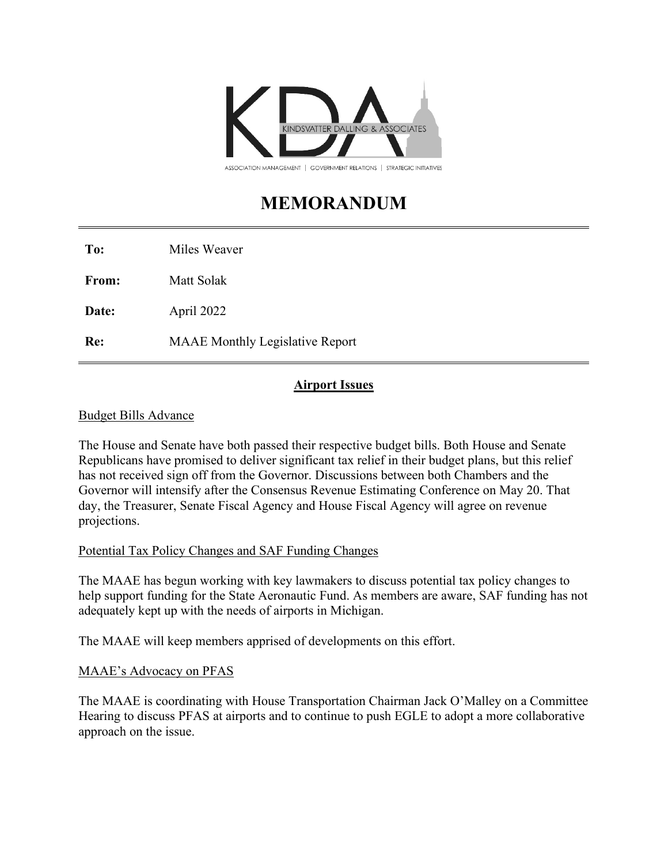

# **MEMORANDUM**

**To:** Miles Weaver

**From:** Matt Solak

**Date:** April 2022

**Re:** MAAE Monthly Legislative Report

# **Airport Issues**

# Budget Bills Advance

The House and Senate have both passed their respective budget bills. Both House and Senate Republicans have promised to deliver significant tax relief in their budget plans, but this relief has not received sign off from the Governor. Discussions between both Chambers and the Governor will intensify after the Consensus Revenue Estimating Conference on May 20. That day, the Treasurer, Senate Fiscal Agency and House Fiscal Agency will agree on revenue projections.

#### Potential Tax Policy Changes and SAF Funding Changes

The MAAE has begun working with key lawmakers to discuss potential tax policy changes to help support funding for the State Aeronautic Fund. As members are aware, SAF funding has not adequately kept up with the needs of airports in Michigan.

The MAAE will keep members apprised of developments on this effort.

#### MAAE's Advocacy on PFAS

The MAAE is coordinating with House Transportation Chairman Jack O'Malley on a Committee Hearing to discuss PFAS at airports and to continue to push EGLE to adopt a more collaborative approach on the issue.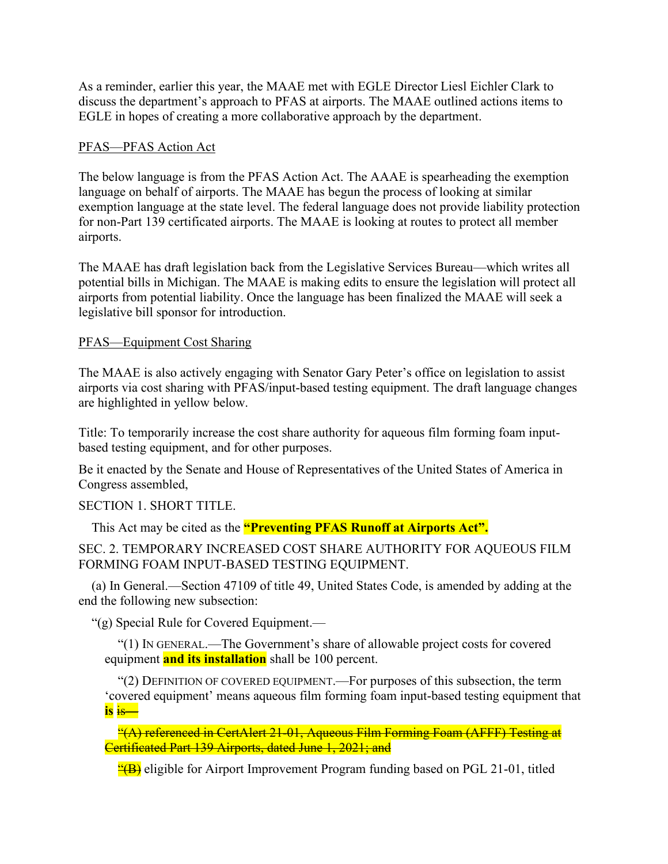As a reminder, earlier this year, the MAAE met with EGLE Director Liesl Eichler Clark to discuss the department's approach to PFAS at airports. The MAAE outlined actions items to EGLE in hopes of creating a more collaborative approach by the department.

# PFAS—PFAS Action Act

The below language is from the PFAS Action Act. The AAAE is spearheading the exemption language on behalf of airports. The MAAE has begun the process of looking at similar exemption language at the state level. The federal language does not provide liability protection for non-Part 139 certificated airports. The MAAE is looking at routes to protect all member airports.

The MAAE has draft legislation back from the Legislative Services Bureau—which writes all potential bills in Michigan. The MAAE is making edits to ensure the legislation will protect all airports from potential liability. Once the language has been finalized the MAAE will seek a legislative bill sponsor for introduction.

# PFAS—Equipment Cost Sharing

The MAAE is also actively engaging with Senator Gary Peter's office on legislation to assist airports via cost sharing with PFAS/input-based testing equipment. The draft language changes are highlighted in yellow below.

Title: To temporarily increase the cost share authority for aqueous film forming foam inputbased testing equipment, and for other purposes.

Be it enacted by the Senate and House of Representatives of the United States of America in Congress assembled,

#### SECTION 1. SHORT TITLE.

This Act may be cited as the **"Preventing PFAS Runoff at Airports Act".**

# SEC. 2. TEMPORARY INCREASED COST SHARE AUTHORITY FOR AQUEOUS FILM FORMING FOAM INPUT-BASED TESTING EQUIPMENT.

(a) In General.—Section 47109 of title 49, United States Code, is amended by adding at the end the following new subsection:

"(g) Special Rule for Covered Equipment.—

"(1) IN GENERAL.—The Government's share of allowable project costs for covered equipment **and its installation** shall be 100 percent.

"(2) DEFINITION OF COVERED EQUIPMENT.—For purposes of this subsection, the term 'covered equipment' means aqueous film forming foam input-based testing equipment that **is** is—

"(A) referenced in CertAlert 21-01, Aqueous Film Forming Foam (AFFF) Testing at Certificated Part 139 Airports, dated June 1, 2021; and

 $\frac{4}{18}$  eligible for Airport Improvement Program funding based on PGL 21-01, titled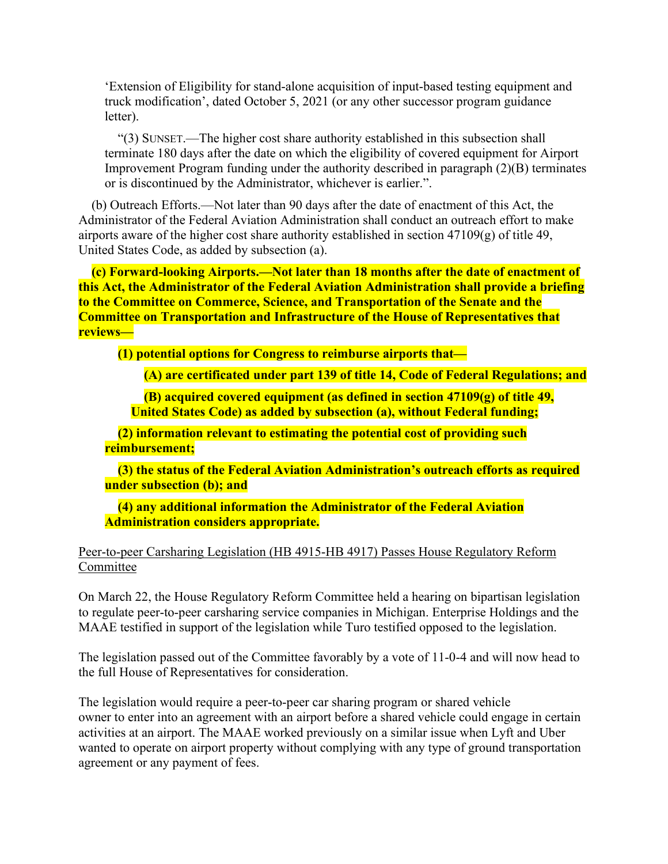'Extension of Eligibility for stand-alone acquisition of input-based testing equipment and truck modification', dated October 5, 2021 (or any other successor program guidance letter).

"(3) SUNSET.—The higher cost share authority established in this subsection shall terminate 180 days after the date on which the eligibility of covered equipment for Airport Improvement Program funding under the authority described in paragraph (2)(B) terminates or is discontinued by the Administrator, whichever is earlier.".

(b) Outreach Efforts.—Not later than 90 days after the date of enactment of this Act, the Administrator of the Federal Aviation Administration shall conduct an outreach effort to make airports aware of the higher cost share authority established in section  $47109(g)$  of title 49, United States Code, as added by subsection (a).

**(c) Forward-looking Airports.—Not later than 18 months after the date of enactment of this Act, the Administrator of the Federal Aviation Administration shall provide a briefing to the Committee on Commerce, Science, and Transportation of the Senate and the Committee on Transportation and Infrastructure of the House of Representatives that reviews—** 

**(1) potential options for Congress to reimburse airports that—** 

**(A) are certificated under part 139 of title 14, Code of Federal Regulations; and** 

**(B) acquired covered equipment (as defined in section 47109(g) of title 49, United States Code) as added by subsection (a), without Federal funding;**

**(2) information relevant to estimating the potential cost of providing such reimbursement;**

**(3) the status of the Federal Aviation Administration's outreach efforts as required under subsection (b); and**

**(4) any additional information the Administrator of the Federal Aviation Administration considers appropriate.**

Peer-to-peer Carsharing Legislation (HB 4915-HB 4917) Passes House Regulatory Reform Committee

On March 22, the House Regulatory Reform Committee held a hearing on bipartisan legislation to regulate peer-to-peer carsharing service companies in Michigan. Enterprise Holdings and the MAAE testified in support of the legislation while Turo testified opposed to the legislation.

The legislation passed out of the Committee favorably by a vote of 11-0-4 and will now head to the full House of Representatives for consideration.

The legislation would require a peer-to-peer car sharing program or shared vehicle owner to enter into an agreement with an airport before a shared vehicle could engage in certain activities at an airport. The MAAE worked previously on a similar issue when Lyft and Uber wanted to operate on airport property without complying with any type of ground transportation agreement or any payment of fees.